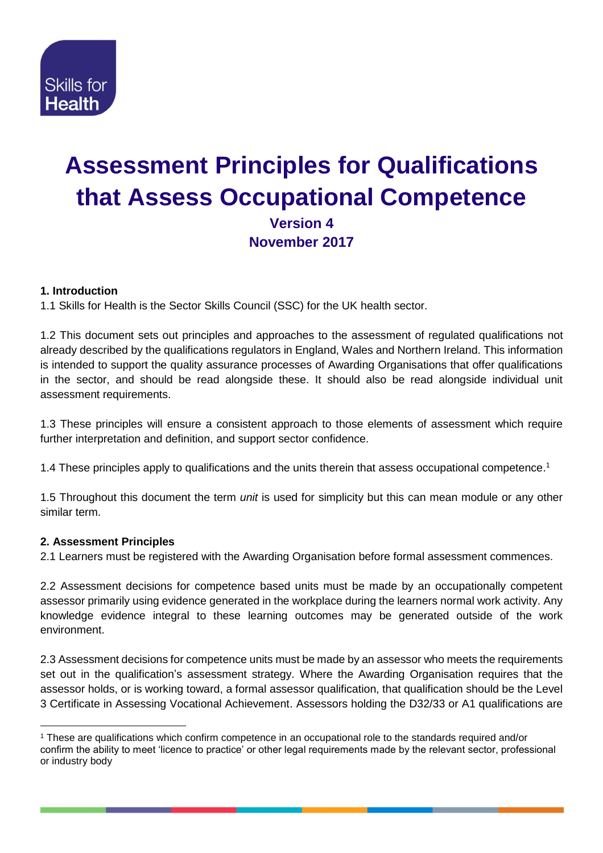

# **Assessment Principles for Qualifications that Assess Occupational Competence Version 4 November 2017**

## **1. Introduction**

1.1 Skills for Health is the Sector Skills Council (SSC) for the UK health sector.

1.2 This document sets out principles and approaches to the assessment of regulated qualifications not already described by the qualifications regulators in England, Wales and Northern Ireland. This information is intended to support the quality assurance processes of Awarding Organisations that offer qualifications in the sector, and should be read alongside these. It should also be read alongside individual unit assessment requirements.

1.3 These principles will ensure a consistent approach to those elements of assessment which require further interpretation and definition, and support sector confidence.

1.4 These principles apply to qualifications and the units therein that assess occupational competence.<sup>1</sup>

1.5 Throughout this document the term *unit* is used for simplicity but this can mean module or any other similar term.

# **2. Assessment Principles**

-

2.1 Learners must be registered with the Awarding Organisation before formal assessment commences.

2.2 Assessment decisions for competence based units must be made by an occupationally competent assessor primarily using evidence generated in the workplace during the learners normal work activity. Any knowledge evidence integral to these learning outcomes may be generated outside of the work environment.

2.3 Assessment decisions for competence units must be made by an assessor who meets the requirements set out in the qualification's assessment strategy. Where the Awarding Organisation requires that the assessor holds, or is working toward, a formal assessor qualification, that qualification should be the Level 3 Certificate in Assessing Vocational Achievement. Assessors holding the D32/33 or A1 qualifications are

<sup>1</sup> These are qualifications which confirm competence in an occupational role to the standards required and/or confirm the ability to meet 'licence to practice' or other legal requirements made by the relevant sector, professional or industry body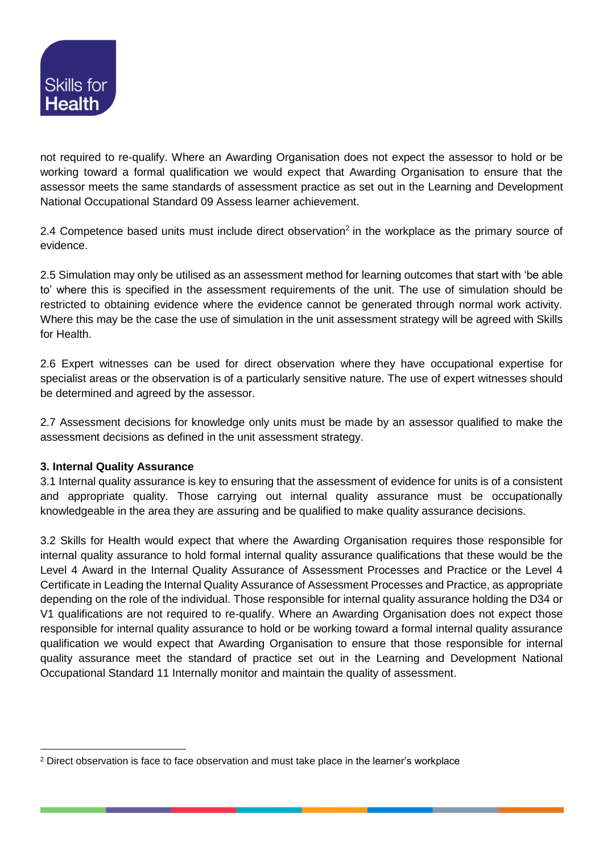

not required to re-qualify. Where an Awarding Organisation does not expect the assessor to hold or be working toward a formal qualification we would expect that Awarding Organisation to ensure that the assessor meets the same standards of assessment practice as set out in the Learning and Development National Occupational Standard 09 Assess learner achievement.

2.4 Competence based units must include direct observation<sup>2</sup> in the workplace as the primary source of evidence.

2.5 Simulation may only be utilised as an assessment method for learning outcomes that start with 'be able to' where this is specified in the assessment requirements of the unit. The use of simulation should be restricted to obtaining evidence where the evidence cannot be generated through normal work activity. Where this may be the case the use of simulation in the unit assessment strategy will be agreed with Skills for Health.

2.6 Expert witnesses can be used for direct observation where they have occupational expertise for specialist areas or the observation is of a particularly sensitive nature. The use of expert witnesses should be determined and agreed by the assessor.

2.7 Assessment decisions for knowledge only units must be made by an assessor qualified to make the assessment decisions as defined in the unit assessment strategy.

#### **3. Internal Quality Assurance**

-

3.1 Internal quality assurance is key to ensuring that the assessment of evidence for units is of a consistent and appropriate quality. Those carrying out internal quality assurance must be occupationally knowledgeable in the area they are assuring and be qualified to make quality assurance decisions.

3.2 Skills for Health would expect that where the Awarding Organisation requires those responsible for internal quality assurance to hold formal internal quality assurance qualifications that these would be the Level 4 Award in the Internal Quality Assurance of Assessment Processes and Practice or the Level 4 Certificate in Leading the Internal Quality Assurance of Assessment Processes and Practice, as appropriate depending on the role of the individual. Those responsible for internal quality assurance holding the D34 or V1 qualifications are not required to re-qualify. Where an Awarding Organisation does not expect those responsible for internal quality assurance to hold or be working toward a formal internal quality assurance qualification we would expect that Awarding Organisation to ensure that those responsible for internal quality assurance meet the standard of practice set out in the Learning and Development National Occupational Standard 11 Internally monitor and maintain the quality of assessment.

<sup>&</sup>lt;sup>2</sup> Direct observation is face to face observation and must take place in the learner's workplace